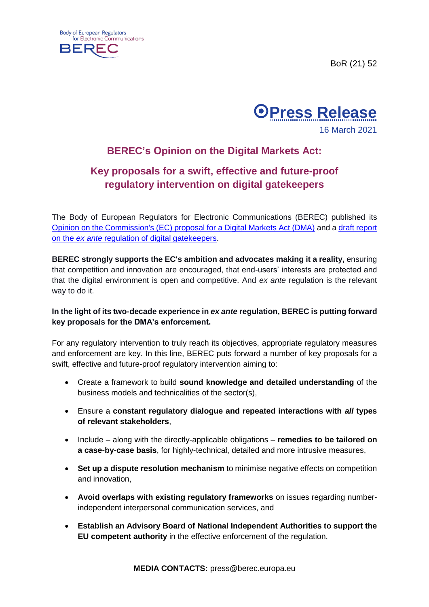





## **BEREC's Opinion on the Digital Markets Act:**

## **Key proposals for a swift, effective and future-proof regulatory intervention on digital gatekeepers**

The Body of European Regulators for Electronic Communications (BEREC) published its [Opinion on the Commission's \(EC\) proposal for a Digital Markets Act \(DMA\)](https://berec.europa.eu/files/document_register_store/2021/3/BoR%20(21)%2035%20BEREC%20Opinion%20on%20the%20DMA%20-%20final.pdf) and a [draft report](https://berec.europa.eu/files/document_register_store/2021/3/BoR%20(21)%2034_Draft%20BEREC%20Report%20on%20digital%20gatekeepers_final.pdf)  on the *ex ante* [regulation of digital gatekeepers.](https://berec.europa.eu/files/document_register_store/2021/3/BoR%20(21)%2034_Draft%20BEREC%20Report%20on%20digital%20gatekeepers_final.pdf)

**BEREC strongly supports the EC's ambition and advocates making it a reality,** ensuring that competition and innovation are encouraged, that end-users' interests are protected and that the digital environment is open and competitive. And *ex ante* regulation is the relevant way to do it.

## **In the light of its two-decade experience in** *ex ante* **regulation, BEREC is putting forward key proposals for the DMA's enforcement.**

For any regulatory intervention to truly reach its objectives, appropriate regulatory measures and enforcement are key. In this line, BEREC puts forward a number of key proposals for a swift, effective and future-proof regulatory intervention aiming to:

- Create a framework to build **sound knowledge and detailed understanding** of the business models and technicalities of the sector(s),
- Ensure a **constant regulatory dialogue and repeated interactions with** *all* **types of relevant stakeholders**,
- Include along with the directly-applicable obligations **remedies to be tailored on a case-by-case basis**, for highly-technical, detailed and more intrusive measures,
- **Set up a dispute resolution mechanism** to minimise negative effects on competition and innovation,
- **Avoid overlaps with existing regulatory frameworks** on issues regarding numberindependent interpersonal communication services, and
- **Establish an Advisory Board of National Independent Authorities to support the EU competent authority** in the effective enforcement of the regulation.